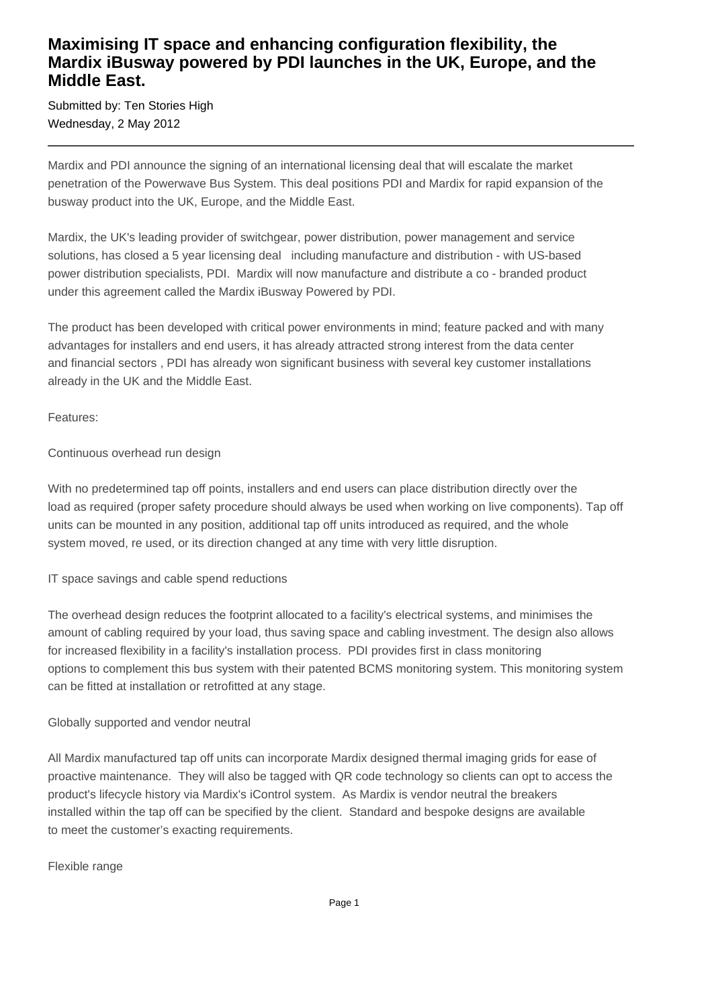# **Maximising IT space and enhancing configuration flexibility, the Mardix iBusway powered by PDI launches in the UK, Europe, and the Middle East.**

Submitted by: Ten Stories High Wednesday, 2 May 2012

Mardix and PDI announce the signing of an international licensing deal that will escalate the market penetration of the Powerwave Bus System. This deal positions PDI and Mardix for rapid expansion of the busway product into the UK, Europe, and the Middle East.

Mardix, the UK's leading provider of switchgear, power distribution, power management and service solutions, has closed a 5 year licensing deal including manufacture and distribution - with US-based power distribution specialists, PDI. Mardix will now manufacture and distribute a co - branded product under this agreement called the Mardix iBusway Powered by PDI.

The product has been developed with critical power environments in mind; feature packed and with many advantages for installers and end users, it has already attracted strong interest from the data center and financial sectors , PDI has already won significant business with several key customer installations already in the UK and the Middle East.

Features:

Continuous overhead run design

With no predetermined tap off points, installers and end users can place distribution directly over the load as required (proper safety procedure should always be used when working on live components). Tap off units can be mounted in any position, additional tap off units introduced as required, and the whole system moved, re used, or its direction changed at any time with very little disruption.

IT space savings and cable spend reductions

The overhead design reduces the footprint allocated to a facility's electrical systems, and minimises the amount of cabling required by your load, thus saving space and cabling investment. The design also allows for increased flexibility in a facility's installation process. PDI provides first in class monitoring options to complement this bus system with their patented BCMS monitoring system. This monitoring system can be fitted at installation or retrofitted at any stage.

#### Globally supported and vendor neutral

All Mardix manufactured tap off units can incorporate Mardix designed thermal imaging grids for ease of proactive maintenance. They will also be tagged with QR code technology so clients can opt to access the product's lifecycle history via Mardix's iControl system. As Mardix is vendor neutral the breakers installed within the tap off can be specified by the client. Standard and bespoke designs are available to meet the customer's exacting requirements.

Flexible range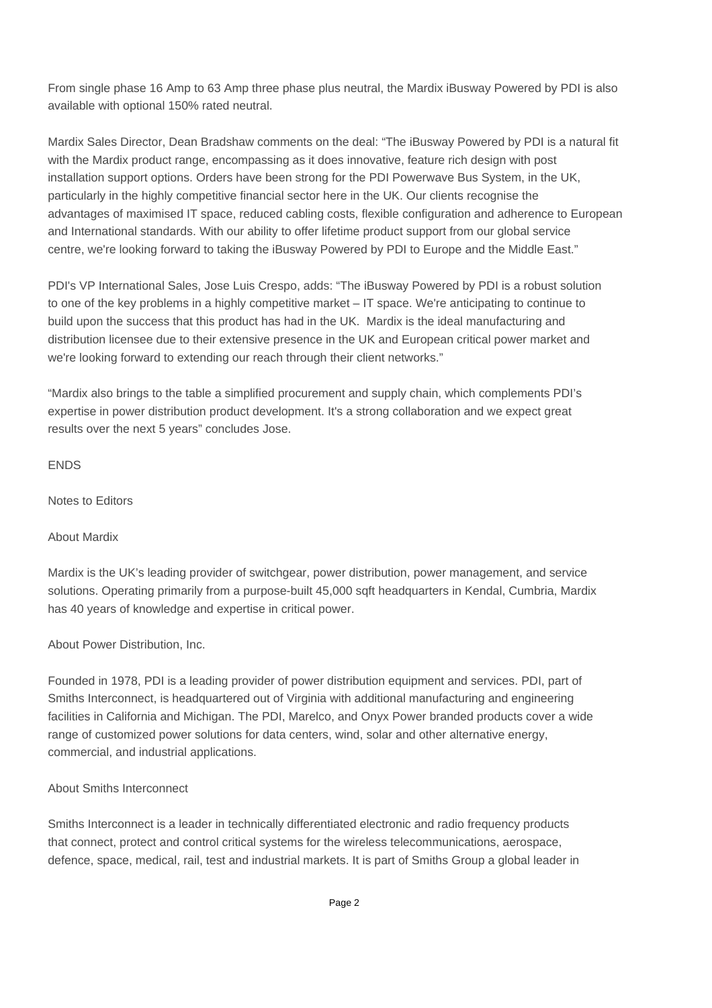From single phase 16 Amp to 63 Amp three phase plus neutral, the Mardix iBusway Powered by PDI is also available with optional 150% rated neutral.

Mardix Sales Director, Dean Bradshaw comments on the deal: "The iBusway Powered by PDI is a natural fit with the Mardix product range, encompassing as it does innovative, feature rich design with post installation support options. Orders have been strong for the PDI Powerwave Bus System, in the UK, particularly in the highly competitive financial sector here in the UK. Our clients recognise the advantages of maximised IT space, reduced cabling costs, flexible configuration and adherence to European and International standards. With our ability to offer lifetime product support from our global service centre, we're looking forward to taking the iBusway Powered by PDI to Europe and the Middle East."

PDI's VP International Sales, Jose Luis Crespo, adds: "The iBusway Powered by PDI is a robust solution to one of the key problems in a highly competitive market – IT space. We're anticipating to continue to build upon the success that this product has had in the UK. Mardix is the ideal manufacturing and distribution licensee due to their extensive presence in the UK and European critical power market and we're looking forward to extending our reach through their client networks."

"Mardix also brings to the table a simplified procurement and supply chain, which complements PDI's expertise in power distribution product development. It's a strong collaboration and we expect great results over the next 5 years" concludes Jose.

## ENDS

Notes to Editors

## About Mardix

Mardix is the UK's leading provider of switchgear, power distribution, power management, and service solutions. Operating primarily from a purpose-built 45,000 sqft headquarters in Kendal, Cumbria, Mardix has 40 years of knowledge and expertise in critical power.

About Power Distribution, Inc.

Founded in 1978, PDI is a leading provider of power distribution equipment and services. PDI, part of Smiths Interconnect, is headquartered out of Virginia with additional manufacturing and engineering facilities in California and Michigan. The PDI, Marelco, and Onyx Power branded products cover a wide range of customized power solutions for data centers, wind, solar and other alternative energy, commercial, and industrial applications.

#### About Smiths Interconnect

Smiths Interconnect is a leader in technically differentiated electronic and radio frequency products that connect, protect and control critical systems for the wireless telecommunications, aerospace, defence, space, medical, rail, test and industrial markets. It is part of Smiths Group a global leader in